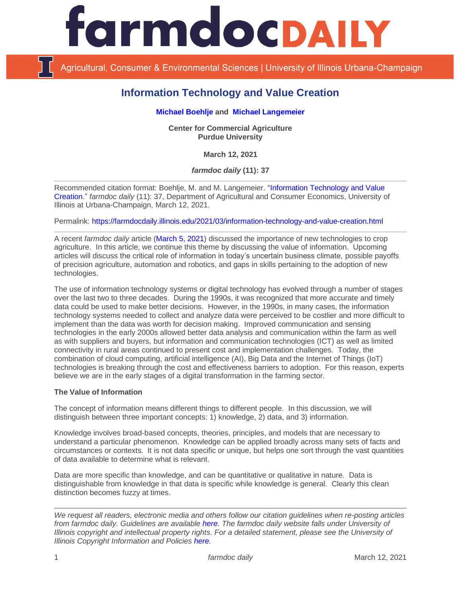

Agricultural, Consumer & Environmental Sciences | University of Illinois Urbana-Champaign

# **Information Technology and Value Creation**

## **[Michael Boehlje](https://ag.purdue.edu/commercialag/Pages/Faculty-Staff/Boehlje.aspx) and [Michael Langemeier](https://ag.purdue.edu/commercialag/Pages/Faculty-Staff/Langemeier.aspx)**

**Center for Commercial Agriculture Purdue University**

**March 12, 2021**

*farmdoc daily* **(11): 37**

Recommended citation format: Boehlje, M. and M. Langemeier. ["Information Technology and Value](https://farmdocdaily.illinois.edu/2021/03/information-technology-and-value-creation.html)  [Creation.](https://farmdocdaily.illinois.edu/2021/03/information-technology-and-value-creation.html)" *farmdoc daily* (11): 37, Department of Agricultural and Consumer Economics, University of Illinois at Urbana-Champaign, March 12, 2021.

Permalink:<https://farmdocdaily.illinois.edu/2021/03/information-technology-and-value-creation.html>

A recent *farmdoc daily* article [\(March 5, 2021\)](https://farmdocdaily.illinois.edu/2021/03/importance-of-new-technologies-for-crop-farming.html) discussed the importance of new technologies to crop agriculture. In this article, we continue this theme by discussing the value of information. Upcoming articles will discuss the critical role of information in today's uncertain business climate, possible payoffs of precision agriculture, automation and robotics, and gaps in skills pertaining to the adoption of new technologies.

The use of information technology systems or digital technology has evolved through a number of stages over the last two to three decades. During the 1990s, it was recognized that more accurate and timely data could be used to make better decisions. However, in the 1990s, in many cases, the information technology systems needed to collect and analyze data were perceived to be costlier and more difficult to implement than the data was worth for decision making. Improved communication and sensing technologies in the early 2000s allowed better data analysis and communication within the farm as well as with suppliers and buyers, but information and communication technologies (ICT) as well as limited connectivity in rural areas continued to present cost and implementation challenges. Today, the combination of cloud computing, artificial intelligence (AI), Big Data and the Internet of Things (IoT) technologies is breaking through the cost and effectiveness barriers to adoption. For this reason, experts believe we are in the early stages of a digital transformation in the farming sector.

## **The Value of Information**

The concept of information means different things to different people. In this discussion, we will distinguish between three important concepts: 1) knowledge, 2) data, and 3) information.

Knowledge involves broad-based concepts, theories, principles, and models that are necessary to understand a particular phenomenon. Knowledge can be applied broadly across many sets of facts and circumstances or contexts. It is not data specific or unique, but helps one sort through the vast quantities of data available to determine what is relevant.

Data are more specific than knowledge, and can be quantitative or qualitative in nature. Data is distinguishable from knowledge in that data is specific while knowledge is general. Clearly this clean distinction becomes fuzzy at times.

*We request all readers, electronic media and others follow our citation guidelines when re-posting articles from farmdoc daily. Guidelines are available [here.](http://farmdocdaily.illinois.edu/citationguide.html) The farmdoc daily website falls under University of Illinois copyright and intellectual property rights. For a detailed statement, please see the University of Illinois Copyright Information and Policies [here.](http://www.cio.illinois.edu/policies/copyright/)*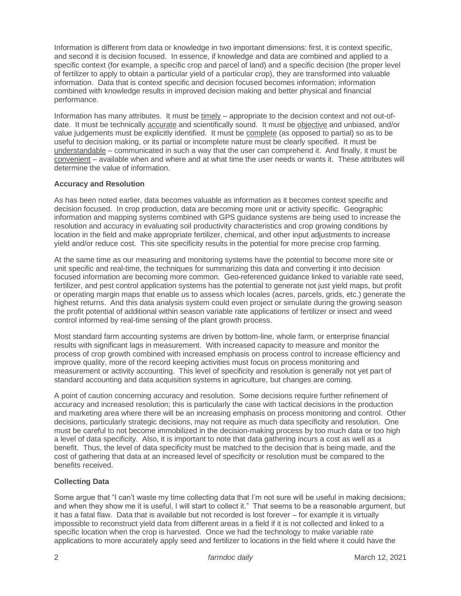Information is different from data or knowledge in two important dimensions: first, it is context specific, and second it is decision focused. In essence, if knowledge and data are combined and applied to a specific context (for example, a specific crop and parcel of land) and a specific decision (the proper level of fertilizer to apply to obtain a particular yield of a particular crop), they are transformed into valuable information. Data that is context specific and decision focused becomes information; information combined with knowledge results in improved decision making and better physical and financial performance.

Information has many attributes. It must be  $\underline{\text{time}}\underline{\text{ly}}$  – appropriate to the decision context and not out-ofdate. It must be technically accurate and scientifically sound. It must be objective and unbiased, and/or value judgements must be explicitly identified. It must be complete (as opposed to partial) so as to be useful to decision making, or its partial or incomplete nature must be clearly specified. It must be understandable – communicated in such a way that the user can comprehend it. And finally, it must be convenient – available when and where and at what time the user needs or wants it. These attributes will determine the value of information.

#### **Accuracy and Resolution**

As has been noted earlier, data becomes valuable as information as it becomes context specific and decision focused. In crop production, data are becoming more unit or activity specific. Geographic information and mapping systems combined with GPS guidance systems are being used to increase the resolution and accuracy in evaluating soil productivity characteristics and crop growing conditions by location in the field and make appropriate fertilizer, chemical, and other input adjustments to increase yield and/or reduce cost. This site specificity results in the potential for more precise crop farming.

At the same time as our measuring and monitoring systems have the potential to become more site or unit specific and real-time, the techniques for summarizing this data and converting it into decision focused information are becoming more common. Geo-referenced guidance linked to variable rate seed, fertilizer, and pest control application systems has the potential to generate not just yield maps, but profit or operating margin maps that enable us to assess which locales (acres, parcels, grids, etc.) generate the highest returns. And this data analysis system could even project or simulate during the growing season the profit potential of additional within season variable rate applications of fertilizer or insect and weed control informed by real-time sensing of the plant growth process.

Most standard farm accounting systems are driven by bottom-line, whole farm, or enterprise financial results with significant lags in measurement. With increased capacity to measure and monitor the process of crop growth combined with increased emphasis on process control to increase efficiency and improve quality, more of the record keeping activities must focus on process monitoring and measurement or activity accounting. This level of specificity and resolution is generally not yet part of standard accounting and data acquisition systems in agriculture, but changes are coming.

A point of caution concerning accuracy and resolution. Some decisions require further refinement of accuracy and increased resolution; this is particularly the case with tactical decisions in the production and marketing area where there will be an increasing emphasis on process monitoring and control. Other decisions, particularly strategic decisions, may not require as much data specificity and resolution. One must be careful to not become immobilized in the decision-making process by too much data or too high a level of data specificity. Also, it is important to note that data gathering incurs a cost as well as a benefit. Thus, the level of data specificity must be matched to the decision that is being made, and the cost of gathering that data at an increased level of specificity or resolution must be compared to the benefits received.

## **Collecting Data**

Some argue that "I can't waste my time collecting data that I'm not sure will be useful in making decisions; and when they show me it is useful, I will start to collect it." That seems to be a reasonable argument, but it has a fatal flaw. Data that is available but not recorded is lost forever – for example it is virtually impossible to reconstruct yield data from different areas in a field if it is not collected and linked to a specific location when the crop is harvested. Once we had the technology to make variable rate applications to more accurately apply seed and fertilizer to locations in the field where it could have the